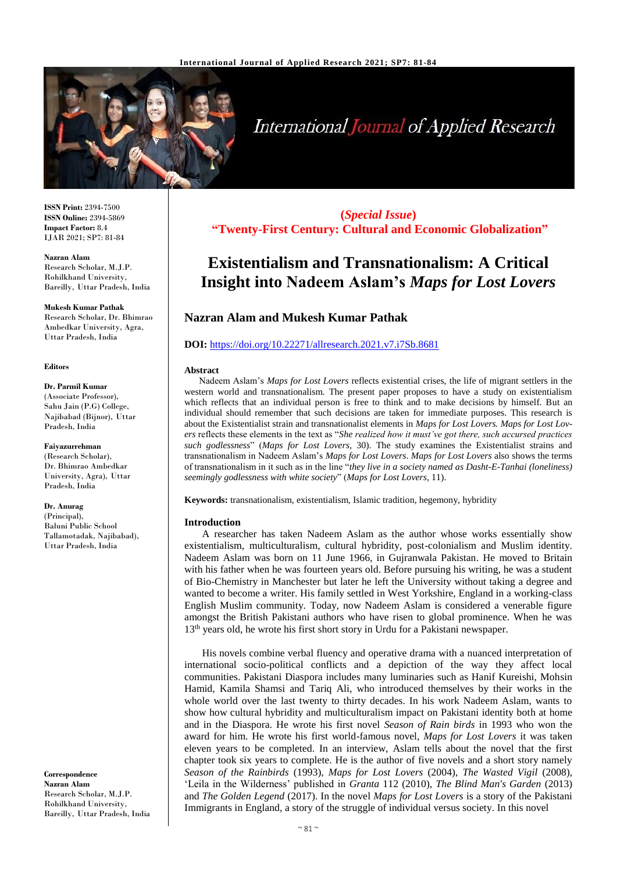

# **International Journal of Applied Research**

**ISSN Print:** 2394-7500 **ISSN Online:** 2394-5869 **Impact Factor:** 8.4 IJAR 2021; SP7: 81-84

**Nazran Alam** Research Scholar, M.J.P. Rohilkhand University, Bareilly, Uttar Pradesh, India

**Mukesh Kumar Pathak** Research Scholar, Dr. Bhimrao Ambedkar University, Agra, Uttar Pradesh, India

#### **Editors**

#### **Dr. Parmil Kumar**

(Associate Professor), Sahu Jain (P.G) College, Najibabad (Bijnor), Uttar Pradesh, India

**Faiyazurrehman**  (Research Scholar),

Dr. Bhimrao Ambedkar University, Agra), Uttar Pradesh, India

**Dr. Anurag**

(Principal), Baluni Public School Tallamotadak, Najibabad), Uttar Pradesh, India

**Correspondence Nazran Alam** Research Scholar, M.J.P. Rohilkhand University, Bareilly, Uttar Pradesh, India

## **(***Special Issue***) "Twenty-First Century: Cultural and Economic Globalization"**

# **Existentialism and Transnationalism: A Critical Insight into Nadeem Aslam's** *Maps for Lost Lovers*

### **Nazran Alam and Mukesh Kumar Pathak**

#### **DOI:** <https://doi.org/10.22271/allresearch.2021.v7.i7Sb.8681>

#### **Abstract**

Nadeem Aslam's *Maps for Lost Lovers* reflects existential crises, the life of migrant settlers in the western world and transnationalism. The present paper proposes to have a study on existentialism which reflects that an individual person is free to think and to make decisions by himself. But an individual should remember that such decisions are taken for immediate purposes. This research is about the Existentialist strain and transnationalist elements in *Maps for Lost Lovers. Maps for Lost Lovers* reflects these elements in the text as "*She realized how it must've got there, such accursed practices such godlessness*" (*Maps for Lost Lovers*, 30). The study examines the Existentialist strains and transnationalism in Nadeem Aslam's *Maps for Lost Lovers*. *Maps for Lost Lovers* also shows the terms of transnationalism in it such as in the line "*they live in a society named as Dasht-E-Tanhai (loneliness) seemingly godlessness with white society*" (*Maps for Lost Lovers*, 11).

**Keywords:** transnationalism, existentialism, Islamic tradition, hegemony, hybridity

#### **Introduction**

A researcher has taken Nadeem Aslam as the author whose works essentially show existentialism, multiculturalism, cultural hybridity, post-colonialism and Muslim identity. Nadeem Aslam was born on 11 June 1966, in Gujranwala Pakistan. He moved to Britain with his father when he was fourteen years old. Before pursuing his writing, he was a student of Bio-Chemistry in Manchester but later he left the University without taking a degree and wanted to become a writer. His family settled in West Yorkshire, England in a working-class English Muslim community. Today, now Nadeem Aslam is considered a venerable figure amongst the British Pakistani authors who have risen to global prominence. When he was 13<sup>th</sup> years old, he wrote his first short story in Urdu for a Pakistani newspaper.

His novels combine verbal fluency and operative drama with a nuanced interpretation of international socio-political conflicts and a depiction of the way they affect local communities. Pakistani Diaspora includes many luminaries such as Hanif Kureishi, Mohsin Hamid, Kamila Shamsi and Tariq Ali, who introduced themselves by their works in the whole world over the last twenty to thirty decades. In his work Nadeem Aslam, wants to show how cultural hybridity and multiculturalism impact on Pakistani identity both at home and in the Diaspora. He wrote his first novel *Season of Rain birds* in 1993 who won the award for him. He wrote his first world-famous novel, *Maps for Lost Lovers* it was taken eleven years to be completed. In an interview, Aslam tells about the novel that the first chapter took six years to complete. He is the author of five novels and a short story namely *Season of the Rainbirds* (1993), *Maps for Lost Lovers* (2004), *The Wasted Vigil* (2008), 'Leila in the Wilderness' published in *Granta* 112 (2010), *The Blind Man's Garden* (2013) and *The Golden Legend* (2017). In the novel *Maps for Lost Lovers* is a story of the Pakistani Immigrants in England, a story of the struggle of individual versus society. In this novel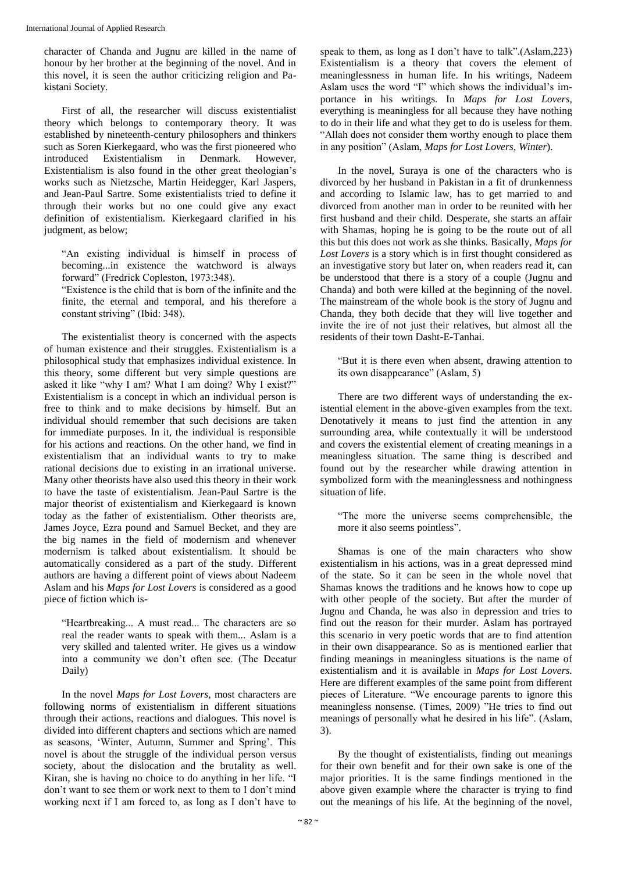character of Chanda and Jugnu are killed in the name of honour by her brother at the beginning of the novel. And in this novel, it is seen the author criticizing religion and Pakistani Society.

First of all, the researcher will discuss existentialist theory which belongs to contemporary theory. It was established by nineteenth-century philosophers and thinkers such as Soren Kierkegaard, who was the first pioneered who introduced Existentialism in Denmark. However, Existentialism is also found in the other great theologian's works such as Nietzsche, Martin Heidegger, Karl Jaspers, and Jean-Paul Sartre. Some existentialists tried to define it through their works but no one could give any exact definition of existentialism. Kierkegaard clarified in his judgment, as below;

"An existing individual is himself in process of becoming...in existence the watchword is always forward" (Fredrick Copleston, 1973:348).

"Existence is the child that is born of the infinite and the finite, the eternal and temporal, and his therefore a constant striving" (Ibid: 348).

The existentialist theory is concerned with the aspects of human existence and their struggles. Existentialism is a philosophical study that emphasizes individual existence. In this theory, some different but very simple questions are asked it like "why I am? What I am doing? Why I exist?" Existentialism is a concept in which an individual person is free to think and to make decisions by himself. But an individual should remember that such decisions are taken for immediate purposes. In it, the individual is responsible for his actions and reactions. On the other hand, we find in existentialism that an individual wants to try to make rational decisions due to existing in an irrational universe. Many other theorists have also used this theory in their work to have the taste of existentialism. Jean-Paul Sartre is the major theorist of existentialism and Kierkegaard is known today as the father of existentialism. Other theorists are, James Joyce, Ezra pound and Samuel Becket, and they are the big names in the field of modernism and whenever modernism is talked about existentialism. It should be automatically considered as a part of the study. Different authors are having a different point of views about Nadeem Aslam and his *Maps for Lost Lovers* is considered as a good piece of fiction which is-

"Heartbreaking... A must read... The characters are so real the reader wants to speak with them... Aslam is a very skilled and talented writer. He gives us a window into a community we don't often see. (The Decatur Daily)

In the novel *Maps for Lost Lovers*, most characters are following norms of existentialism in different situations through their actions, reactions and dialogues. This novel is divided into different chapters and sections which are named as seasons, 'Winter, Autumn, Summer and Spring'. This novel is about the struggle of the individual person versus society, about the dislocation and the brutality as well. Kiran, she is having no choice to do anything in her life. "I don't want to see them or work next to them to I don't mind working next if I am forced to, as long as I don't have to

speak to them, as long as I don't have to talk".(Aslam,223) Existentialism is a theory that covers the element of meaninglessness in human life. In his writings, Nadeem Aslam uses the word "I" which shows the individual's importance in his writings. In *Maps for Lost Lovers,*  everything is meaningless for all because they have nothing to do in their life and what they get to do is useless for them. "Allah does not consider them worthy enough to place them in any position" (Aslam, *Maps for Lost Lovers*, *Winter*).

In the novel, Suraya is one of the characters who is divorced by her husband in Pakistan in a fit of drunkenness and according to Islamic law, has to get married to and divorced from another man in order to be reunited with her first husband and their child. Desperate, she starts an affair with Shamas, hoping he is going to be the route out of all this but this does not work as she thinks*.* Basically, *Maps for Lost Lovers* is a story which is in first thought considered as an investigative story but later on, when readers read it, can be understood that there is a story of a couple (Jugnu and Chanda) and both were killed at the beginning of the novel. The mainstream of the whole book is the story of Jugnu and Chanda, they both decide that they will live together and invite the ire of not just their relatives, but almost all the residents of their town Dasht-E-Tanhai.

"But it is there even when absent, drawing attention to its own disappearance" (Aslam, 5)

There are two different ways of understanding the existential element in the above-given examples from the text. Denotatively it means to just find the attention in any surrounding area, while contextually it will be understood and covers the existential element of creating meanings in a meaningless situation. The same thing is described and found out by the researcher while drawing attention in symbolized form with the meaninglessness and nothingness situation of life.

"The more the universe seems comprehensible, the more it also seems pointless".

Shamas is one of the main characters who show existentialism in his actions, was in a great depressed mind of the state. So it can be seen in the whole novel that Shamas knows the traditions and he knows how to cope up with other people of the society. But after the murder of Jugnu and Chanda, he was also in depression and tries to find out the reason for their murder. Aslam has portrayed this scenario in very poetic words that are to find attention in their own disappearance. So as is mentioned earlier that finding meanings in meaningless situations is the name of existentialism and it is available in *Maps for Lost Lovers.*  Here are different examples of the same point from different pieces of Literature. "We encourage parents to ignore this meaningless nonsense. (Times, 2009) "He tries to find out meanings of personally what he desired in his life". (Aslam, 3).

By the thought of existentialists, finding out meanings for their own benefit and for their own sake is one of the major priorities. It is the same findings mentioned in the above given example where the character is trying to find out the meanings of his life. At the beginning of the novel,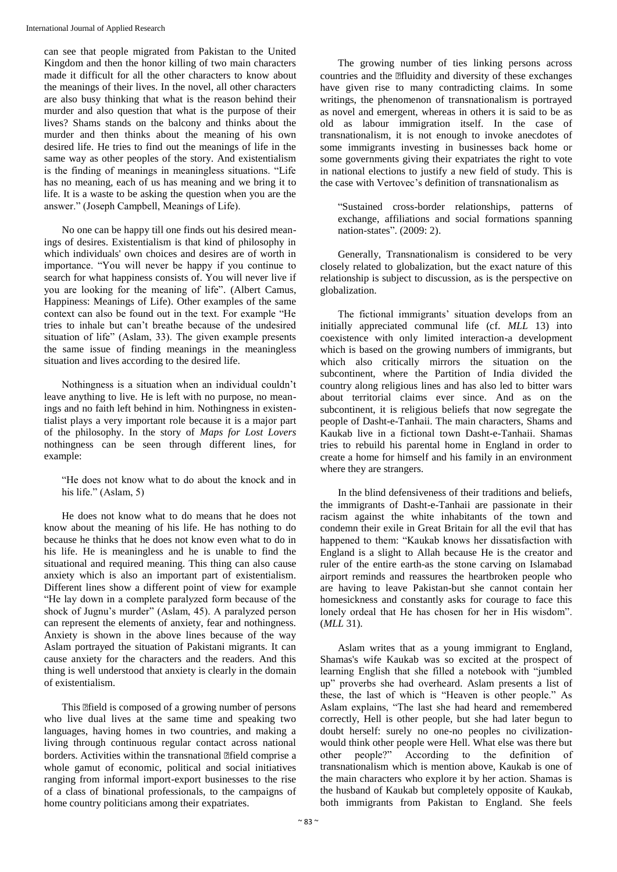can see that people migrated from Pakistan to the United Kingdom and then the honor killing of two main characters made it difficult for all the other characters to know about the meanings of their lives. In the novel, all other characters are also busy thinking that what is the reason behind their murder and also question that what is the purpose of their lives? Shams stands on the balcony and thinks about the murder and then thinks about the meaning of his own desired life. He tries to find out the meanings of life in the same way as other peoples of the story. And existentialism is the finding of meanings in meaningless situations. "Life has no meaning, each of us has meaning and we bring it to life. It is a waste to be asking the question when you are the answer." (Joseph Campbell, Meanings of Life).

No one can be happy till one finds out his desired meanings of desires. Existentialism is that kind of philosophy in which individuals' own choices and desires are of worth in importance. "You will never be happy if you continue to search for what happiness consists of. You will never live if you are looking for the meaning of life". (Albert Camus, Happiness: Meanings of Life). Other examples of the same context can also be found out in the text. For example "He tries to inhale but can't breathe because of the undesired situation of life" (Aslam, 33). The given example presents the same issue of finding meanings in the meaningless situation and lives according to the desired life.

Nothingness is a situation when an individual couldn't leave anything to live. He is left with no purpose, no meanings and no faith left behind in him. Nothingness in existentialist plays a very important role because it is a major part of the philosophy. In the story of *Maps for Lost Lovers*  nothingness can be seen through different lines, for example:

"He does not know what to do about the knock and in his life." (Aslam, 5)

He does not know what to do means that he does not know about the meaning of his life. He has nothing to do because he thinks that he does not know even what to do in his life. He is meaningless and he is unable to find the situational and required meaning. This thing can also cause anxiety which is also an important part of existentialism. Different lines show a different point of view for example "He lay down in a complete paralyzed form because of the shock of Jugnu's murder" (Aslam, 45). A paralyzed person can represent the elements of anxiety, fear and nothingness. Anxiety is shown in the above lines because of the way Aslam portrayed the situation of Pakistani migrants. It can cause anxiety for the characters and the readers. And this thing is well understood that anxiety is clearly in the domain of existentialism.

This Žfield is composed of a growing number of persons who live dual lives at the same time and speaking two languages, having homes in two countries, and making a living through continuous regular contact across national borders. Activities within the transnational Žfield comprise a whole gamut of economic, political and social initiatives ranging from informal import-export businesses to the rise of a class of binational professionals, to the campaigns of home country politicians among their expatriates.

The growing number of ties linking persons across countries and the •fluidity and diversity of these exchanges have given rise to many contradicting claims. In some writings, the phenomenon of transnationalism is portrayed as novel and emergent, whereas in others it is said to be as old as labour immigration itself. In the case of transnationalism, it is not enough to invoke anecdotes of some immigrants investing in businesses back home or some governments giving their expatriates the right to vote in national elections to justify a new field of study. This is the case with Vertovec's definition of transnationalism as

"Sustained cross-border relationships, patterns of exchange, affiliations and social formations spanning nation-states". (2009: 2).

Generally, Transnationalism is considered to be very closely related to globalization, but the exact nature of this relationship is subject to discussion, as is the perspective on globalization.

The fictional immigrants' situation develops from an initially appreciated communal life (cf. *MLL* 13) into coexistence with only limited interaction-a development which is based on the growing numbers of immigrants, but which also critically mirrors the situation on the subcontinent, where the Partition of India divided the country along religious lines and has also led to bitter wars about territorial claims ever since. And as on the subcontinent, it is religious beliefs that now segregate the people of Dasht-e-Tanhaii. The main characters, Shams and Kaukab live in a fictional town Dasht-e-Tanhaii. Shamas tries to rebuild his parental home in England in order to create a home for himself and his family in an environment where they are strangers.

In the blind defensiveness of their traditions and beliefs, the immigrants of Dasht-e-Tanhaii are passionate in their racism against the white inhabitants of the town and condemn their exile in Great Britain for all the evil that has happened to them: "Kaukab knows her dissatisfaction with England is a slight to Allah because He is the creator and ruler of the entire earth-as the stone carving on Islamabad airport reminds and reassures the heartbroken people who are having to leave Pakistan-but she cannot contain her homesickness and constantly asks for courage to face this lonely ordeal that He has chosen for her in His wisdom". (*MLL* 31).

Aslam writes that as a young immigrant to England, Shamas's wife Kaukab was so excited at the prospect of learning English that she filled a notebook with "jumbled up" proverbs she had overheard. Aslam presents a list of these, the last of which is "Heaven is other people." As Aslam explains, "The last she had heard and remembered correctly, Hell is other people, but she had later begun to doubt herself: surely no one-no peoples no civilizationwould think other people were Hell. What else was there but other people?" According to the definition of transnationalism which is mention above, Kaukab is one of the main characters who explore it by her action. Shamas is the husband of Kaukab but completely opposite of Kaukab, both immigrants from Pakistan to England. She feels